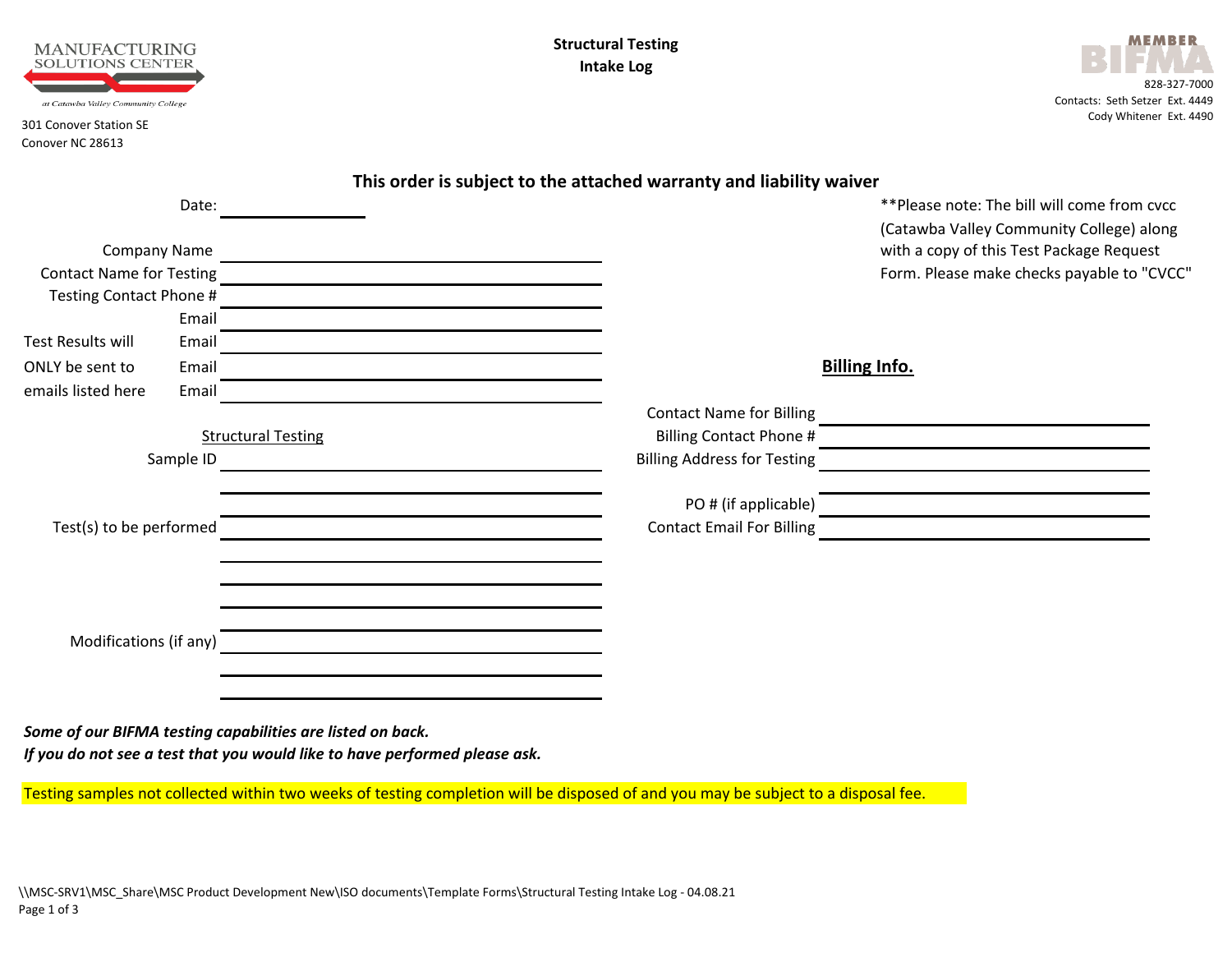



|                                                            |                                                                                                                                                                                                                                                                                                                                                                  | This order is subject to the attached warranty and liability waiver   |                                                                                                                                      |
|------------------------------------------------------------|------------------------------------------------------------------------------------------------------------------------------------------------------------------------------------------------------------------------------------------------------------------------------------------------------------------------------------------------------------------|-----------------------------------------------------------------------|--------------------------------------------------------------------------------------------------------------------------------------|
| Date:<br><b>Company Name</b>                               |                                                                                                                                                                                                                                                                                                                                                                  |                                                                       | ** Please note: The bill will come from cvcc<br>(Catawba Valley Community College) along<br>with a copy of this Test Package Request |
| <b>Contact Name for Testing</b><br>Testing Contact Phone # | <u>a sa barang sa mga barang sa mga barang sa mga barang sa mga barang sa mga barang sa mga barang sa mga barang sa </u><br><u>and the company of the company of the company of the company of the company of the company of the company of the company of the company of the company of the company of the company of the company of the company of the com</u> |                                                                       | Form. Please make checks payable to "CVCC"                                                                                           |
| Email<br><b>Test Results will</b><br>Email                 |                                                                                                                                                                                                                                                                                                                                                                  |                                                                       |                                                                                                                                      |
| ONLY be sent to<br>Email<br>emails listed here<br>Email    |                                                                                                                                                                                                                                                                                                                                                                  |                                                                       | <b>Billing Info.</b>                                                                                                                 |
| Sample ID                                                  | <b>Structural Testing</b>                                                                                                                                                                                                                                                                                                                                        | <b>Contact Name for Billing</b><br><b>Billing Address for Testing</b> | <u> 1989 - Andrea Andrew Maria (b. 1989)</u>                                                                                         |
|                                                            |                                                                                                                                                                                                                                                                                                                                                                  |                                                                       |                                                                                                                                      |
| Test(s) to be performed                                    |                                                                                                                                                                                                                                                                                                                                                                  | <b>Contact Email For Billing</b>                                      |                                                                                                                                      |
|                                                            |                                                                                                                                                                                                                                                                                                                                                                  |                                                                       |                                                                                                                                      |
| Modifications (if any)                                     |                                                                                                                                                                                                                                                                                                                                                                  |                                                                       |                                                                                                                                      |
|                                                            | Some of our BIFMA testing capabilities are listed on back.                                                                                                                                                                                                                                                                                                       |                                                                       |                                                                                                                                      |

Testing samples not collected within two weeks of testing completion will be disposed of and you may be subject to a disposal fee.

*If you do not see a test that you would like to have performed please ask.*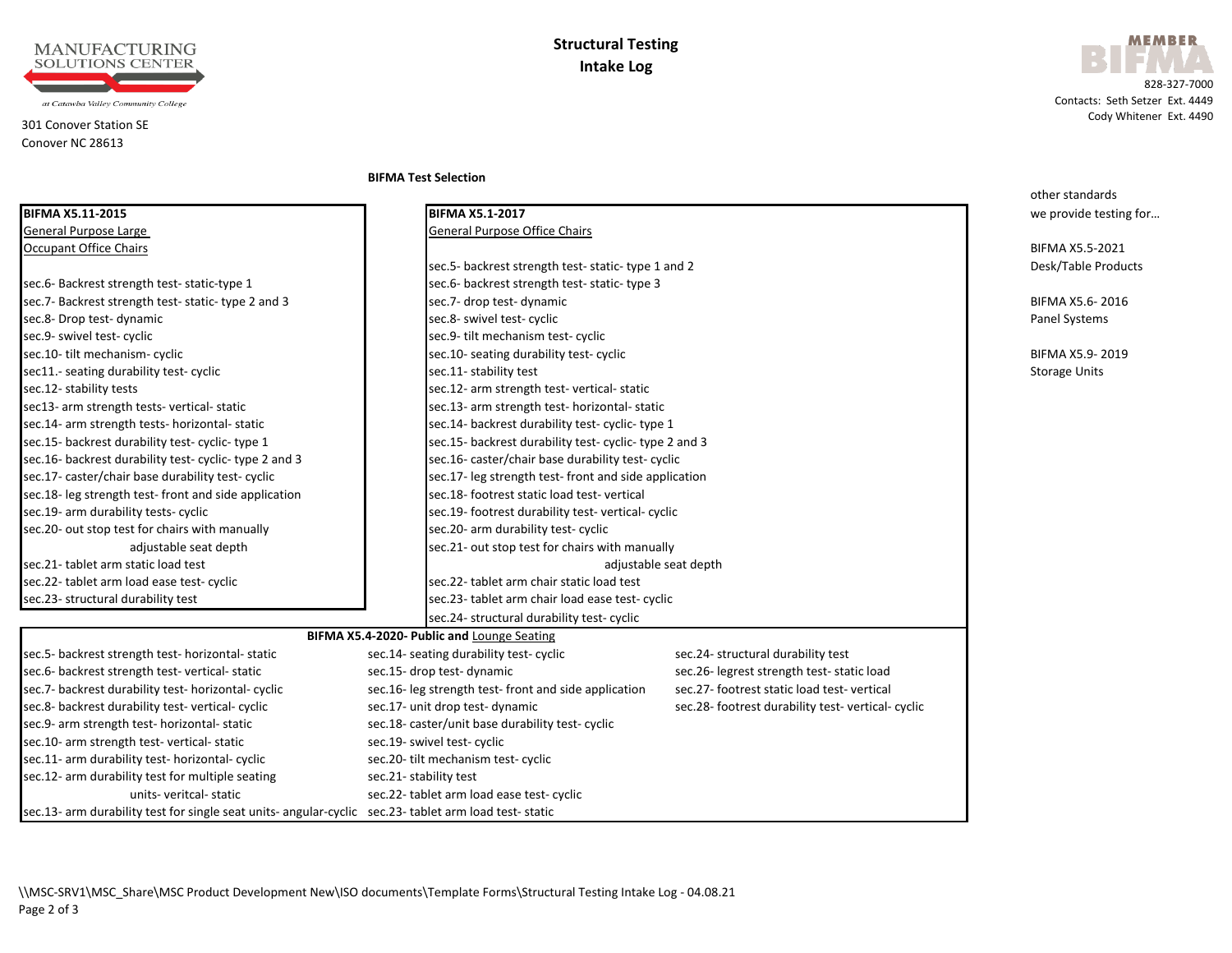

#### 301 Conover Station SE Conover NC 28613



 828-327-7000 Contacts: Seth Setzer Ext. 4449 Cody Whitener Ext. 4490

**BIFMA Test Selection**

|                                                                                                       |                                                        |                                                  | other standards        |
|-------------------------------------------------------------------------------------------------------|--------------------------------------------------------|--------------------------------------------------|------------------------|
| BIFMA X5.11-2015                                                                                      | <b>BIFMA X5.1-2017</b>                                 |                                                  | we provide testing for |
| General Purpose Large                                                                                 | General Purpose Office Chairs                          |                                                  |                        |
| <b>Occupant Office Chairs</b>                                                                         |                                                        |                                                  | BIFMA X5.5-2021        |
|                                                                                                       | sec.5- backrest strength test-static-type 1 and 2      |                                                  | Desk/Table Products    |
| sec.6- Backrest strength test-static-type 1                                                           | sec.6- backrest strength test-static-type 3            |                                                  |                        |
| sec.7- Backrest strength test- static- type 2 and 3                                                   | sec.7- drop test- dynamic                              |                                                  | BIFMA X5.6-2016        |
| sec.8- Drop test- dynamic                                                                             | sec.8- swivel test- cyclic                             |                                                  | Panel Systems          |
| sec.9- swivel test- cyclic                                                                            | sec.9- tilt mechanism test- cyclic                     |                                                  |                        |
| sec.10- tilt mechanism- cyclic                                                                        | sec.10- seating durability test- cyclic                |                                                  | BIFMA X5.9-2019        |
| sec11 .- seating durability test- cyclic                                                              | sec.11- stability test                                 |                                                  | <b>Storage Units</b>   |
| sec.12- stability tests                                                                               | sec.12- arm strength test-vertical-static              |                                                  |                        |
| sec13- arm strength tests- vertical- static                                                           | sec.13- arm strength test- horizontal- static          |                                                  |                        |
| sec.14- arm strength tests- horizontal- static                                                        | sec.14- backrest durability test- cyclic- type 1       |                                                  |                        |
| sec.15- backrest durability test-cyclic-type 1                                                        | sec.15- backrest durability test- cyclic- type 2 and 3 |                                                  |                        |
| sec.16- backrest durability test- cyclic- type 2 and 3                                                | sec.16- caster/chair base durability test- cyclic      |                                                  |                        |
| sec.17- caster/chair base durability test-cyclic                                                      | sec.17- leg strength test-front and side application   |                                                  |                        |
| sec.18- leg strength test- front and side application                                                 | sec.18-footrest static load test-vertical              |                                                  |                        |
| sec.19- arm durability tests- cyclic                                                                  | sec.19- footrest durability test-vertical-cyclic       |                                                  |                        |
| sec.20- out stop test for chairs with manually                                                        | sec.20- arm durability test- cyclic                    |                                                  |                        |
| adjustable seat depth                                                                                 | sec.21- out stop test for chairs with manually         |                                                  |                        |
| sec.21-tablet arm static load test                                                                    | adjustable seat depth                                  |                                                  |                        |
| sec.22- tablet arm load ease test- cyclic                                                             | sec.22- tablet arm chair static load test              |                                                  |                        |
| sec.23- structural durability test                                                                    | sec.23- tablet arm chair load ease test- cyclic        |                                                  |                        |
|                                                                                                       | sec.24- structural durability test- cyclic             |                                                  |                        |
|                                                                                                       | BIFMA X5.4-2020- Public and Lounge Seating             |                                                  |                        |
| sec.5- backrest strength test- horizontal- static                                                     | sec.14- seating durability test- cyclic                | sec.24- structural durability test               |                        |
| sec.6- backrest strength test- vertical- static                                                       | sec.15- drop test- dynamic                             | sec.26- legrest strength test-static load        |                        |
| sec.7- backrest durability test- horizontal- cyclic                                                   | sec.16- leg strength test-front and side application   | sec.27-footrest static load test-vertical        |                        |
| sec.8- backrest durability test-vertical-cyclic                                                       | sec.17- unit drop test- dynamic                        | sec.28- footrest durability test-vertical-cyclic |                        |
| sec.9- arm strength test- horizontal- static                                                          | sec.18- caster/unit base durability test- cyclic       |                                                  |                        |
| sec.10- arm strength test-vertical-static                                                             | sec.19- swivel test- cyclic                            |                                                  |                        |
| sec.11- arm durability test- horizontal- cyclic                                                       | sec.20- tilt mechanism test- cyclic                    |                                                  |                        |
| sec.12- arm durability test for multiple seating                                                      | sec.21- stability test                                 |                                                  |                        |
| units-veritcal-static                                                                                 | sec.22- tablet arm load ease test- cyclic              |                                                  |                        |
| sec.13- arm durability test for single seat units- angular-cyclic sec.23- tablet arm load test-static |                                                        |                                                  |                        |